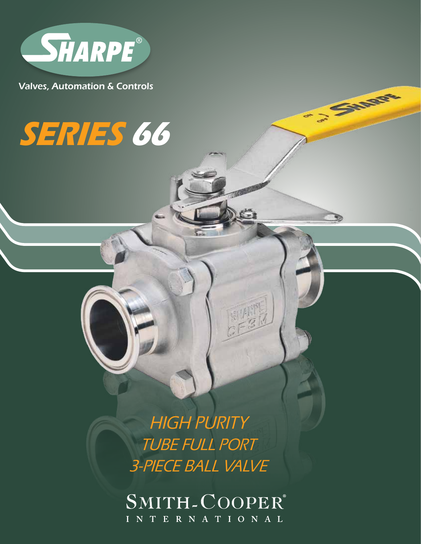

Valves, Automation & Controls

# **SERIES 66**

HIGH PURITY TUBE FULL PORT 3-PIECE BALL VALVE **SAMPLE** 

SMITH-COOPER® INTERNATIONAL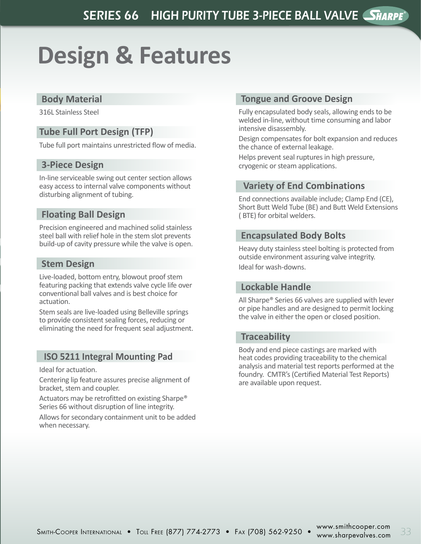## **Design & Features**

#### **Body Material**

316L Stainless Steel

#### **Tube Full Port Design (TFP)**

Tube full port maintains unrestricted flow of media.

#### **3-Piece Design**

In-line serviceable swing out center section allows easy access to internal valve components without disturbing alignment of tubing.

#### **Floating Ball Design**

Precision engineered and machined solid stainless steel ball with relief hole in the stem slot prevents build-up of cavity pressure while the valve is open.

#### **Stem Design**

Live-loaded, bottom entry, blowout proof stem featuring packing that extends valve cycle life over conventional ball valves and is best choice for actuation.

Stem seals are live-loaded using Belleville springs to provide consistent sealing forces, reducing or eliminating the need for frequent seal adjustment.

#### **ISO 5211 Integral Mounting Pad**

Ideal for actuation.

Centering lip feature assures precise alignment of bracket, stem and coupler.

Actuators may be retrofitted on existing Sharpe® Series 66 without disruption of line integrity.

Allows for secondary containment unit to be added when necessary.

#### **Tongue and Groove Design**

Fully encapsulated body seals, allowing ends to be welded in-line, without time consuming and labor intensive disassembly.

Design compensates for bolt expansion and reduces the chance of external leakage.

Helps prevent seal ruptures in high pressure, cryogenic or steam applications.

#### **Variety of End Combinations**

End connections available include; Clamp End (CE), Short Butt Weld Tube (BE) and Butt Weld Extensions ( BTE) for orbital welders.

#### **Encapsulated Body Bolts**

Heavy duty stainless steel bolting is protected from outside environment assuring valve integrity. Ideal for wash-downs.

#### **Lockable Handle**

All Sharpe® Series 66 valves are supplied with lever or pipe handles and are designed to permit locking the valve in either the open or closed position.

#### **Traceability**

Body and end piece castings are marked with heat codes providing traceability to the chemical analysis and material test reports performed at the foundry. CMTR's (Certified Material Test Reports) are available upon request.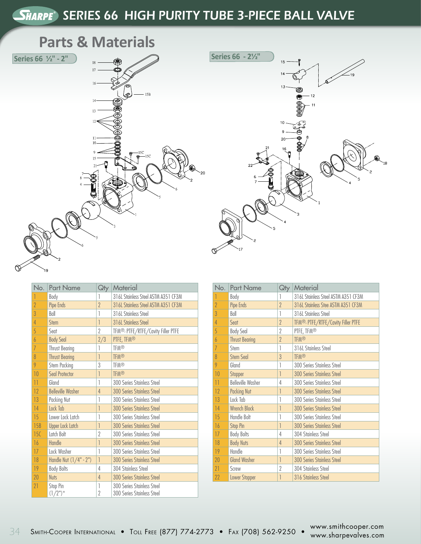### SHARPE<sup>®</sup> SERIES 66 HIGH PURITY TUBE 3-PIECE BALL VALVE

### **Parts & Materials**





| No.             | <b>Part Name</b>         | Qty                      | Material                                                 |
|-----------------|--------------------------|--------------------------|----------------------------------------------------------|
|                 | Body                     | 1                        | 316L Stainless Steel ASTM A351 CF3M                      |
| $\overline{2}$  | Pipe Ends                | $\overline{\phantom{a}}$ | 316L Stainless Steel ASTM A351 CF3M                      |
| 3               | Ball                     | 1                        | 316L Stainless Steel                                     |
| 4               | Stem                     | 1                        | 316L Stainless Steel                                     |
| 5               | Seat                     | $\overline{2}$           | TFM <sup>®</sup> , PTFE/RTFE/Cavity Filler PTFE          |
| 6               | <b>Body Seal</b>         | 2/3                      | PTFE, TFM®                                               |
| $\overline{1}$  | <b>Thrust Bearing</b>    | 1                        | <b>TFM®</b>                                              |
| 8               | <b>Thrust Bearing</b>    | 1                        | <b>TFM®</b>                                              |
| 9               | Stem Packing             | 3                        | <b>TFM®</b>                                              |
| 10              | Seal Protector           | 1                        | <b>TFM®</b>                                              |
| $\overline{11}$ | Gland                    | 1                        | 300 Series Stainless Steel                               |
| 12              | <b>Belleville Washer</b> | 4                        | <b>300 Series Stainless Steel</b>                        |
| 13              | Packing Nut              | 1                        | 300 Series Stainless Steel                               |
| 14              | Lock Tab                 | 1                        | <b>300 Series Stainless Steel</b>                        |
| 15              | Lower Lock Latch         |                          | 300 Series Stainless Steel                               |
| 15B             | <b>Upper Lock Latch</b>  | 1                        | <b>300 Series Stainless Steel</b>                        |
| 15C             | Latch Bolt               | $\overline{2}$           | 300 Series Stainless Steel                               |
| 16              | Handle                   | 1                        | <b>300 Series Stainless Steel</b>                        |
| 17              | Lock Washer              | 1                        | 300 Series Stainless Steel                               |
| 18              | Handle Nut (1/4" - 2")   | 1                        | <b>300 Series Stainless Steel</b>                        |
| 19              | <b>Body Bolts</b>        | 4                        | 304 Stainless Steel                                      |
| 20              | <b>Nuts</b>              | 4                        | <b>300 Series Stainless Steel</b>                        |
| 21              | Stop Pin<br>$(1/2")^*$   | 1<br>$\overline{2}$      | 300 Series Stainless Steel<br>300 Series Stainless Steel |

| No.            | <b>Part Name</b>         | Qty            | Material                                        |  |  |  |  |  |  |
|----------------|--------------------------|----------------|-------------------------------------------------|--|--|--|--|--|--|
| 1              | Body                     | 1              | 316L Stainless Steel ASTM A351 CF3M             |  |  |  |  |  |  |
| $\overline{2}$ | Pipe Ends                | $\gamma$       | 316L Stainless Stee ASTM A351 CF3M              |  |  |  |  |  |  |
| 3              | Ball                     | 1              | 316L Stainless Steel                            |  |  |  |  |  |  |
| 4              | Sent                     | $\gamma$       | TFM <sup>®</sup> , PTFE/RTFE/Cavity Filler PTFE |  |  |  |  |  |  |
| 5              | <b>Body Seal</b>         | 2              | PTFE, TFM <sup>®</sup>                          |  |  |  |  |  |  |
| 6              | <b>Thrust Bearing</b>    | $\gamma$       | <b>TFM®</b>                                     |  |  |  |  |  |  |
| $\overline{I}$ | Stem                     | 1              | 316L Stainless Steel                            |  |  |  |  |  |  |
| 8              | <b>Stem Seal</b>         | $\overline{3}$ | <b>TFM®</b>                                     |  |  |  |  |  |  |
| 9              | Gland                    | 1              | 300 Series Stainless Steel                      |  |  |  |  |  |  |
| 10             | Stopper                  | 1              | <b>300 Series Stainless Steel</b>               |  |  |  |  |  |  |
| 11             | <b>Belleville Washer</b> | 4              | 300 Series Stainless Steel                      |  |  |  |  |  |  |
| 12             | <b>Packing Nut</b>       | 1              | <b>300 Series Stainless Steel</b>               |  |  |  |  |  |  |
| 13             | Lock Tab                 | 1              | 300 Series Stainless Steel                      |  |  |  |  |  |  |
| 14             | <b>Wrench Block</b>      | 1              | <b>300 Series Stainless Steel</b>               |  |  |  |  |  |  |
| 15             | Handle Bolt              | 1              | 300 Series Stainless Steel                      |  |  |  |  |  |  |
| 16             | <b>Stop Pin</b>          | 1              | <b>300 Series Stainless Steel</b>               |  |  |  |  |  |  |
| 17             | <b>Body Bolts</b>        | 4              | 304 Stainless Steel                             |  |  |  |  |  |  |
| 18             | <b>Body Nuts</b>         | 4              | <b>300 Series Stainless Steel</b>               |  |  |  |  |  |  |
| 19             | Handle                   | 1              | 300 Series Stainless Steel                      |  |  |  |  |  |  |
| 20             | <b>Gland Washer</b>      | 1              | <b>300 Series Stainless Steel</b>               |  |  |  |  |  |  |
| 21             | Screw                    | $\gamma$       | 304 Stainless Steel                             |  |  |  |  |  |  |
| 22             | <b>Lower Stopper</b>     | 1              | 316 Stainless Steel                             |  |  |  |  |  |  |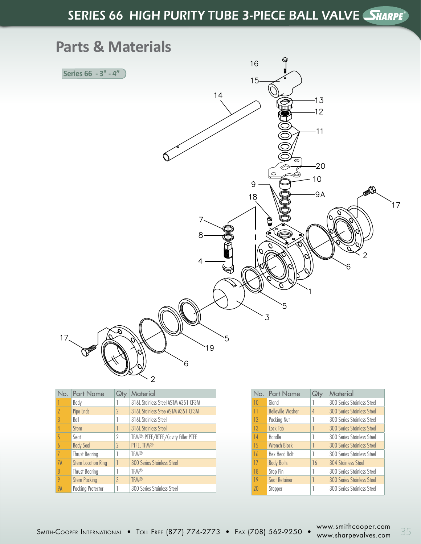## SERIES 66 HIGH PURITY TUBE 3-PIECE BALL VALVE SHARPE®



| No.                      | <b>Part Name</b>          | Qł            | Material                            |
|--------------------------|---------------------------|---------------|-------------------------------------|
|                          | Body                      |               | 316L Stainless Steel ASTM A351 CF3M |
| $\overline{\phantom{a}}$ | Pipe Ends                 | $\mathcal{P}$ | 316L Stainless Stee ASTM A351 CF3M  |
| 3                        | Ball                      |               | 316L Stainless Steel                |
| $\overline{4}$           | <b>Stem</b>               |               | 316L Stainless Steel                |
| 5                        | Seat                      | 2             | TFM®, PTFE/RTFE/Cavity Filler PTFE  |
| $\overline{b}$           | <b>Body Seal</b>          | $\mathcal{P}$ | PTFE, TFM®                          |
| 7                        | <b>Thrust Bearing</b>     |               | <b>TFM®</b>                         |
| 7A                       | <b>Stem Location Ring</b> |               | <b>300 Series Stainless Steel</b>   |
| 8                        | <b>Thrust Bearing</b>     |               | <b>TFM®</b>                         |
| 9                        | <b>Stem Packing</b>       | $\mathcal{E}$ | <b>TFM®</b>                         |
| <b>9A</b>                | <b>Packing Protector</b>  |               | 300 Series Stainless Steel          |

| No. | <b>Part Name</b>         |    | Material                          |
|-----|--------------------------|----|-----------------------------------|
| 10  | Gland                    |    | 300 Series Stainless Steel        |
| 11  | <b>Belleville Washer</b> | 4  | <b>300 Series Stainless Steel</b> |
| 12  | Packing Nut              |    | 300 Series Stainless Steel        |
| 13  | Lock Tab                 |    | <b>300 Series Stainless Steel</b> |
| 14  | <b>Handle</b>            |    | 300 Series Stainless Steel        |
| 15  | <b>Wrench Block</b>      |    | 300 Series Stainless Steel        |
| 16  | <b>Hex Head Bolt</b>     |    | 300 Series Stainless Steel        |
| 17  | <b>Body Bolts</b>        | 16 | <b>304 Stainless Steel</b>        |
| 18  | Stop Pin                 |    | 300 Series Stainless Steel        |
| 19  | <b>Seat Retainer</b>     |    | <b>300 Series Stainless Steel</b> |
| 20  | Stopper                  |    | 300 Series Stainless Steel        |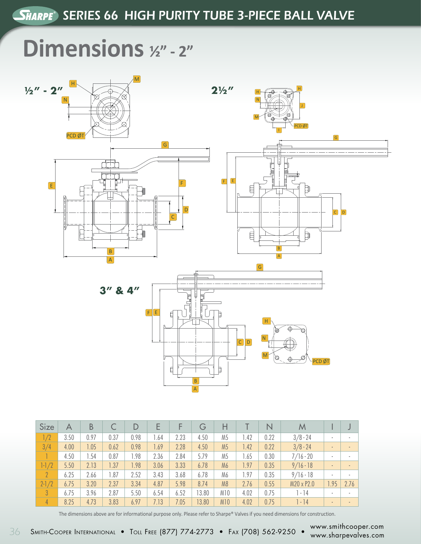## **Dimensions**  $1/2$ " - 2"



| <b>Size</b> | А    | B    |      | D    | E    |      | G     | Н              |      | N    | M           |                |                          |
|-------------|------|------|------|------|------|------|-------|----------------|------|------|-------------|----------------|--------------------------|
| 1/2         | 3.50 | 0.97 | 0.37 | 0.98 | 1.64 | 2.23 | 4.50  | M <sub>5</sub> | 1.42 | 0.22 | $3/8 - 24$  | ٠              | $\sim$                   |
| 3/4         | 4.00 | 1.05 | 0.62 | 0.98 | 1.69 | 2.28 | 4.50  | M <sub>5</sub> | 1.42 | 0.22 | $3/8 - 24$  | $\blacksquare$ | $\overline{\phantom{a}}$ |
|             | 4.50 | .54  | 0.87 | 1.98 | 2.36 | 2.84 | 5.79  | M <sub>5</sub> | 1.65 | 0.30 | $7/16 - 20$ | ٠              | $\sim$                   |
| $1-1/2$     | 5.50 | 2.13 | 1.37 | 1.98 | 3.06 | 3.33 | 6.78  | M <sub>6</sub> | 1.97 | 0.35 | $9/16 - 18$ | $\sim$         | $\sim$                   |
| $2^{\circ}$ | 6.25 | 2.66 | 1.87 | 2.52 | 3.43 | 3.68 | 6.78  | M6             | 1.97 | 0.35 | $9/16 - 18$ | $\mathbf{r}$   | $\sim$                   |
| $2 - 1/2$   | 6.75 | 3.20 | 2.37 | 3.34 | 4.87 | 5.98 | 8.74  | M <sub>8</sub> | 2.76 | 0.55 | M20 x P2.0  | .95            | 2.76                     |
| 3           | 6.75 | 3.96 | 2.87 | 5.50 | 6.54 | 6.52 | 13.80 | M10            | 4.02 | 0.75 | $] - 14$    | ٠              | ٠                        |
| 4           | 8.25 | 4.73 | 3.83 | 6.97 | 7.13 | 7.05 | 13.80 | <b>M10</b>     | 4.02 | 0.75 | $1 - 14$    | $\sim$         | $\blacksquare$           |

The dimensions above are for informational purpose only. Please refer to Sharpe® Valves if you need dimensions for construction.

 $\pm$  SMITH-Cooper International • Toll Free (877) 774-2773 • Fax (708) 562-9250 •  $\frac{www.smirhcooper.com}{www.sharpevalves.com}$